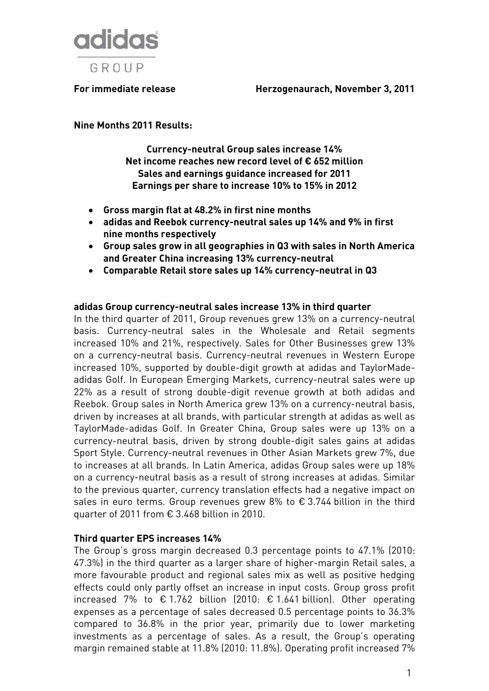

**For immediate release Herzogenaurach, November 3, 2011** 

**Nine Months 2011 Results:** 

**Currency-neutral Group sales increase 14% Net income reaches new record level of € 652 million Sales and earnings guidance increased for 2011 Earnings per share to increase 10% to 15% in 2012** 

- **Gross margin flat at 48.2% in first nine months**
- **adidas and Reebok currency-neutral sales up 14% and 9% in first nine months respectively**
- **Group sales grow in all geographies in Q3 with sales in North America and Greater China increasing 13% currency-neutral**
- **Comparable Retail store sales up 14% currency-neutral in Q3**

#### **adidas Group currency-neutral sales increase 13% in third quarter**

In the third quarter of 2011, Group revenues grew 13% on a currency-neutral basis. Currency-neutral sales in the Wholesale and Retail segments increased 10% and 21%, respectively. Sales for Other Businesses grew 13% on a currency-neutral basis. Currency-neutral revenues in Western Europe increased 10%, supported by double-digit growth at adidas and TaylorMadeadidas Golf. In European Emerging Markets, currency-neutral sales were up 22% as a result of strong double-digit revenue growth at both adidas and Reebok. Group sales in North America grew 13% on a currency-neutral basis, driven by increases at all brands, with particular strength at adidas as well as TaylorMade-adidas Golf. In Greater China, Group sales were up 13% on a currency-neutral basis, driven by strong double-digit sales gains at adidas Sport Style. Currency-neutral revenues in Other Asian Markets grew 7%, due to increases at all brands. In Latin America, adidas Group sales were up 18% on a currency-neutral basis as a result of strong increases at adidas. Similar to the previous quarter, currency translation effects had a negative impact on sales in euro terms. Group revenues grew 8% to € 3.744 billion in the third quarter of 2011 from € 3.468 billion in 2010.

#### **Third quarter EPS increases 14%**

The Group's gross margin decreased 0.3 percentage points to 47.1% (2010: 47.3%) in the third quarter as a larger share of higher-margin Retail sales, a more favourable product and regional sales mix as well as positive hedging effects could only partly offset an increase in input costs. Group gross profit increased 7% to € 1.762 billion (2010: € 1.641 billion). Other operating expenses as a percentage of sales decreased 0.5 percentage points to 36.3% compared to 36.8% in the prior year, primarily due to lower marketing investments as a percentage of sales. As a result, the Group's operating margin remained stable at 11.8% (2010: 11.8%). Operating profit increased 7%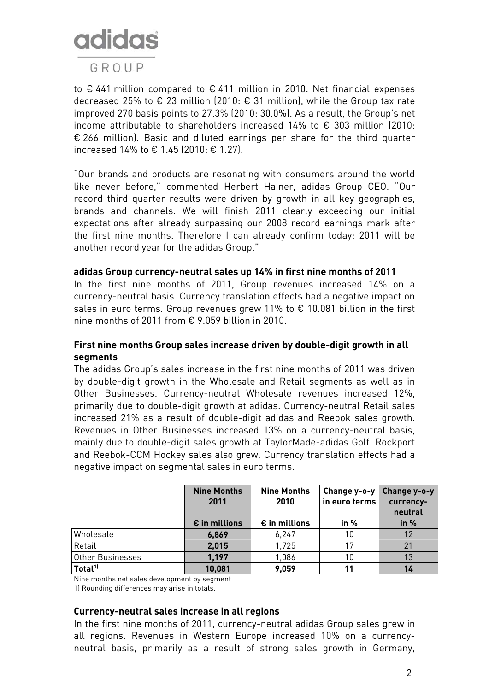# **adidas**

### GROUP

to € 441 million compared to € 411 million in 2010. Net financial expenses decreased 25% to € 23 million (2010: € 31 million), while the Group tax rate improved 270 basis points to 27.3% (2010: 30.0%). As a result, the Group's net income attributable to shareholders increased 14% to € 303 million (2010: € 266 million). Basic and diluted earnings per share for the third quarter increased 14% to € 1.45 (2010: € 1.27).

"Our brands and products are resonating with consumers around the world like never before," commented Herbert Hainer, adidas Group CEO. "Our record third quarter results were driven by growth in all key geographies, brands and channels. We will finish 2011 clearly exceeding our initial expectations after already surpassing our 2008 record earnings mark after the first nine months. Therefore I can already confirm today: 2011 will be another record year for the adidas Group."

#### **adidas Group currency-neutral sales up 14% in first nine months of 2011**

In the first nine months of 2011, Group revenues increased 14% on a currency-neutral basis. Currency translation effects had a negative impact on sales in euro terms. Group revenues grew 11% to € 10.081 billion in the first nine months of 2011 from € 9.059 billion in 2010.

#### **First nine months Group sales increase driven by double-digit growth in all segments**

The adidas Group's sales increase in the first nine months of 2011 was driven by double-digit growth in the Wholesale and Retail segments as well as in Other Businesses. Currency-neutral Wholesale revenues increased 12%, primarily due to double-digit growth at adidas. Currency-neutral Retail sales increased 21% as a result of double-digit adidas and Reebok sales growth. Revenues in Other Businesses increased 13% on a currency-neutral basis, mainly due to double-digit sales growth at TaylorMade-adidas Golf. Rockport and Reebok-CCM Hockey sales also grew. Currency translation effects had a negative impact on segmental sales in euro terms.

|                     | <b>Nine Months</b><br>2011 | <b>Nine Months</b><br>2010 | Change y-o-y<br>in euro terms | Change y-o-y<br>currency-<br>neutral |
|---------------------|----------------------------|----------------------------|-------------------------------|--------------------------------------|
|                     | $\epsilon$ in millions     | $\epsilon$ in millions     | in $%$                        | in $%$                               |
| Wholesale           | 6,869                      | 6,247                      | 10                            |                                      |
| Retail              | 2,015                      | 1,725                      | 17                            | 21                                   |
| Other Businesses    | 1,197                      | 1,086                      | 10                            | 13                                   |
| Total <sup>11</sup> | 10,081                     | 9,059                      | 11                            | 14                                   |

Nine months net sales development by segment

1) Rounding differences may arise in totals.

#### **Currency-neutral sales increase in all regions**

In the first nine months of 2011, currency-neutral adidas Group sales grew in all regions. Revenues in Western Europe increased 10% on a currencyneutral basis, primarily as a result of strong sales growth in Germany,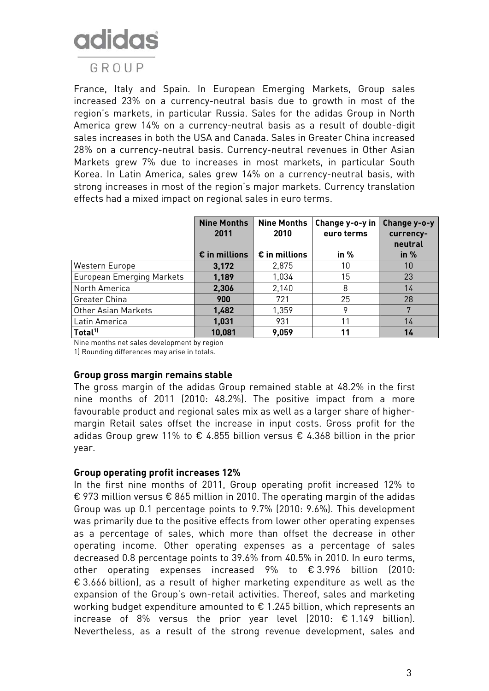# **adidas**

### GROUP

France, Italy and Spain. In European Emerging Markets, Group sales increased 23% on a currency-neutral basis due to growth in most of the region's markets, in particular Russia. Sales for the adidas Group in North America grew 14% on a currency-neutral basis as a result of double-digit sales increases in both the USA and Canada. Sales in Greater China increased 28% on a currency-neutral basis. Currency-neutral revenues in Other Asian Markets grew 7% due to increases in most markets, in particular South Korea. In Latin America, sales grew 14% on a currency-neutral basis, with strong increases in most of the region's major markets. Currency translation effects had a mixed impact on regional sales in euro terms.

|                           | <b>Nine Months</b><br>2011 | <b>Nine Months</b><br>2010 | Change y-o-y in<br>euro terms | Change y-o-y<br>currency-<br>neutral |
|---------------------------|----------------------------|----------------------------|-------------------------------|--------------------------------------|
|                           | $\epsilon$ in millions     | $\epsilon$ in millions     | in %                          | in %                                 |
| Western Europe            | 3,172                      | 2,875                      | 10                            | 10                                   |
| European Emerging Markets | 1,189                      | 1,034                      | 15                            | 23                                   |
| North America             | 2,306                      | 2,140                      | 8                             | 14                                   |
| Greater China             | 900                        | 721                        | 25                            | 28                                   |
| Other Asian Markets       | 1,482                      | 1,359                      | 9                             | 7                                    |
| Latin America             | 1,031                      | 931                        | 11                            | 14                                   |
| Total <sup>11</sup>       | 10,081                     | 9,059                      | 11                            | 14                                   |

Nine months net sales development by region

1) Rounding differences may arise in totals.

#### **Group gross margin remains stable**

The gross margin of the adidas Group remained stable at 48.2% in the first nine months of 2011 (2010: 48.2%). The positive impact from a more favourable product and regional sales mix as well as a larger share of highermargin Retail sales offset the increase in input costs. Gross profit for the adidas Group grew 11% to  $\epsilon$  4.855 billion versus  $\epsilon$  4.368 billion in the prior year.

#### **Group operating profit increases 12%**

In the first nine months of 2011, Group operating profit increased 12% to € 973 million versus € 865 million in 2010. The operating margin of the adidas Group was up 0.1 percentage points to 9.7% (2010: 9.6%). This development was primarily due to the positive effects from lower other operating expenses as a percentage of sales, which more than offset the decrease in other operating income. Other operating expenses as a percentage of sales decreased 0.8 percentage points to 39.6% from 40.5% in 2010. In euro terms, other operating expenses increased 9% to € 3.996 billion (2010: € 3.666 billion), as a result of higher marketing expenditure as well as the expansion of the Group's own-retail activities. Thereof, sales and marketing working budget expenditure amounted to € 1.245 billion, which represents an increase of 8% versus the prior year level (2010: € 1.149 billion). Nevertheless, as a result of the strong revenue development, sales and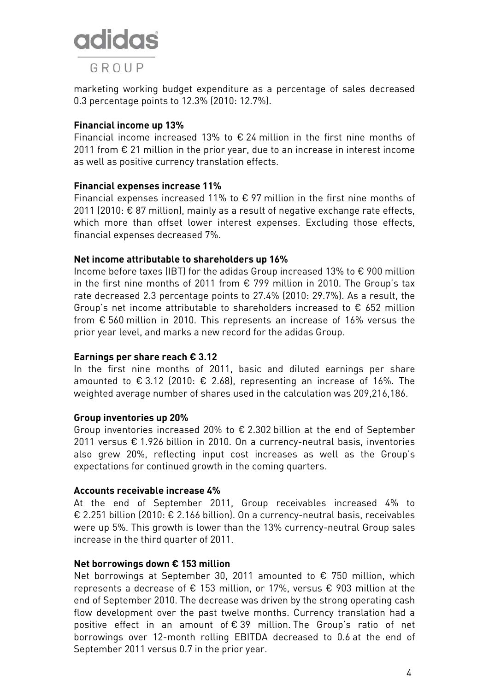

marketing working budget expenditure as a percentage of sales decreased 0.3 percentage points to 12.3% (2010: 12.7%).

#### **Financial income up 13%**

Financial income increased 13% to  $\epsilon$  24 million in the first nine months of 2011 from  $\epsilon$  21 million in the prior year, due to an increase in interest income as well as positive currency translation effects.

#### **Financial expenses increase 11%**

Financial expenses increased 11% to  $\epsilon$  97 million in the first nine months of 2011 (2010: € 87 million), mainly as a result of negative exchange rate effects, which more than offset lower interest expenses. Excluding those effects, financial expenses decreased 7%.

#### **Net income attributable to shareholders up 16%**

Income before taxes (IBT) for the adidas Group increased 13% to € 900 million in the first nine months of 2011 from € 799 million in 2010. The Group's tax rate decreased 2.3 percentage points to 27.4% (2010: 29.7%). As a result, the Group's net income attributable to shareholders increased to  $\epsilon$  652 million from € 560 million in 2010. This represents an increase of 16% versus the prior year level, and marks a new record for the adidas Group.

#### **Earnings per share reach € 3.12**

In the first nine months of 2011, basic and diluted earnings per share amounted to € 3.12 (2010: € 2.68), representing an increase of 16%. The weighted average number of shares used in the calculation was 209,216,186.

#### **Group inventories up 20%**

Group inventories increased 20% to € 2.302 billion at the end of September 2011 versus € 1.926 billion in 2010. On a currency-neutral basis, inventories also grew 20%, reflecting input cost increases as well as the Group's expectations for continued growth in the coming quarters.

#### **Accounts receivable increase 4%**

At the end of September 2011, Group receivables increased 4% to € 2.251 billion (2010: € 2.166 billion). On a currency-neutral basis, receivables were up 5%. This growth is lower than the 13% currency-neutral Group sales increase in the third quarter of 2011.

#### **Net borrowings down € 153 million**

Net borrowings at September 30, 2011 amounted to  $\epsilon$  750 million, which represents a decrease of  $\epsilon$  153 million, or 17%, versus  $\epsilon$  903 million at the end of September 2010. The decrease was driven by the strong operating cash flow development over the past twelve months. Currency translation had a positive effect in an amount of € 39 million. The Group's ratio of net borrowings over 12-month rolling EBITDA decreased to 0.6 at the end of September 2011 versus 0.7 in the prior year.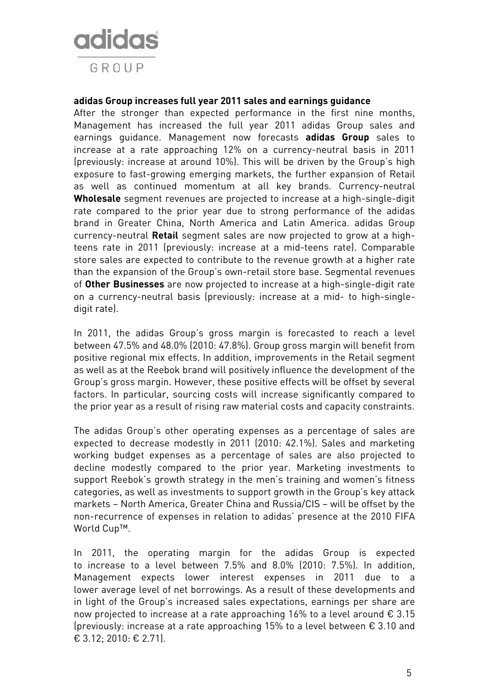

#### **adidas Group increases full year 2011 sales and earnings guidance**

After the stronger than expected performance in the first nine months, Management has increased the full year 2011 adidas Group sales and earnings guidance. Management now forecasts **adidas Group** sales to increase at a rate approaching 12% on a currency-neutral basis in 2011 (previously: increase at around 10%). This will be driven by the Group's high exposure to fast-growing emerging markets, the further expansion of Retail as well as continued momentum at all key brands. Currency-neutral **Wholesale** segment revenues are projected to increase at a high-single-digit rate compared to the prior year due to strong performance of the adidas brand in Greater China, North America and Latin America. adidas Group currency-neutral **Retail** segment sales are now projected to grow at a highteens rate in 2011 (previously: increase at a mid-teens rate). Comparable store sales are expected to contribute to the revenue growth at a higher rate than the expansion of the Group's own-retail store base. Segmental revenues of **Other Businesses** are now projected to increase at a high-single-digit rate on a currency-neutral basis (previously: increase at a mid- to high-singledigit rate).

In 2011, the adidas Group's gross margin is forecasted to reach a level between 47.5% and 48.0% (2010: 47.8%). Group gross margin will benefit from positive regional mix effects. In addition, improvements in the Retail segment as well as at the Reebok brand will positively influence the development of the Group's gross margin. However, these positive effects will be offset by several factors. In particular, sourcing costs will increase significantly compared to the prior year as a result of rising raw material costs and capacity constraints.

The adidas Group's other operating expenses as a percentage of sales are expected to decrease modestly in 2011 (2010: 42.1%). Sales and marketing working budget expenses as a percentage of sales are also projected to decline modestly compared to the prior year. Marketing investments to support Reebok's growth strategy in the men's training and women's fitness categories, as well as investments to support growth in the Group's key attack markets – North America, Greater China and Russia/CIS – will be offset by the non-recurrence of expenses in relation to adidas' presence at the 2010 FIFA World Cup™.

In 2011, the operating margin for the adidas Group is expected to increase to a level between 7.5% and 8.0% (2010: 7.5%). In addition, Management expects lower interest expenses in 2011 due to a lower average level of net borrowings. As a result of these developments and in light of the Group's increased sales expectations, earnings per share are now projected to increase at a rate approaching 16% to a level around € 3.15 (previously: increase at a rate approaching 15% to a level between € 3.10 and € 3.12; 2010: € 2.71).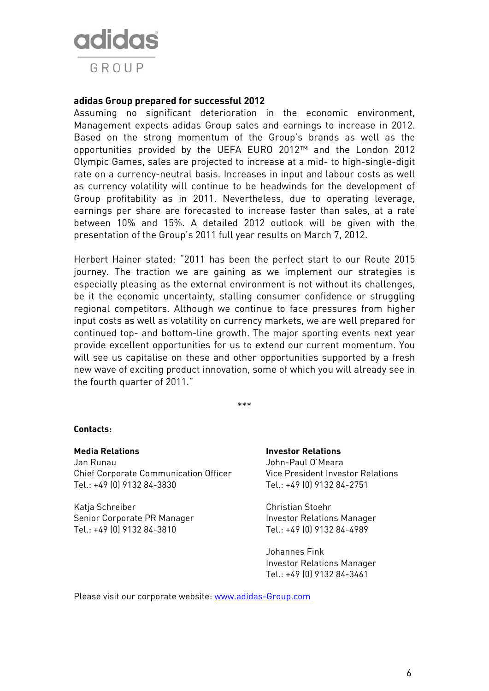

#### **adidas Group prepared for successful 2012**

Assuming no significant deterioration in the economic environment, Management expects adidas Group sales and earnings to increase in 2012. Based on the strong momentum of the Group's brands as well as the opportunities provided by the UEFA EURO 2012™ and the London 2012 Olympic Games, sales are projected to increase at a mid- to high-single-digit rate on a currency-neutral basis. Increases in input and labour costs as well as currency volatility will continue to be headwinds for the development of Group profitability as in 2011. Nevertheless, due to operating leverage, earnings per share are forecasted to increase faster than sales, at a rate between 10% and 15%. A detailed 2012 outlook will be given with the presentation of the Group's 2011 full year results on March 7, 2012.

Herbert Hainer stated: "2011 has been the perfect start to our Route 2015 journey. The traction we are gaining as we implement our strategies is especially pleasing as the external environment is not without its challenges, be it the economic uncertainty, stalling consumer confidence or struggling regional competitors. Although we continue to face pressures from higher input costs as well as volatility on currency markets, we are well prepared for continued top- and bottom-line growth. The major sporting events next year provide excellent opportunities for us to extend our current momentum. You will see us capitalise on these and other opportunities supported by a fresh new wave of exciting product innovation, some of which you will already see in the fourth quarter of 2011."

\*\*\*

#### **Contacts:**

**Media Relations Investor Relations**  Jan Runau John-Paul O'Meara Chief Corporate Communication Officer Vice President Investor Relations Tel.: +49 (0) 9132 84-3830 Tel.: +49 (0) 9132 84-2751

Katja Schreiber Christian Stoehr Senior Corporate PR Manager **Investor Relations Manager** Tel.: +49 (0) 9132 84-3810 Tel.: +49 (0) 9132 84-4989

 Johannes Fink Investor Relations Manager Tel.: +49 (0) 9132 84-3461

Please visit our corporate website: www.adidas-Group.com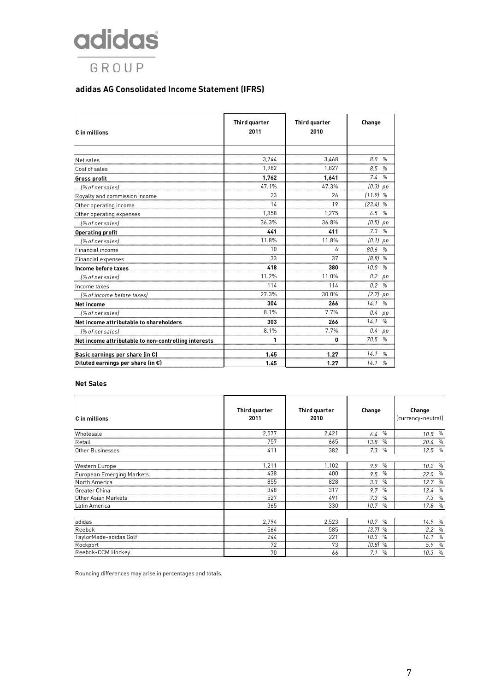## adidas GROUP

#### **adidas AG Consolidated Income Statement (IFRS)**

| € in millions                                        | Third quarter<br>2011 | Third quarter<br>2010 | Change                |  |
|------------------------------------------------------|-----------------------|-----------------------|-----------------------|--|
|                                                      |                       |                       |                       |  |
| Net sales                                            | 3.744                 | 3.468                 | 8.0<br>$\frac{0}{n}$  |  |
| Cost of sales                                        | 1,982                 | 1,827                 | 8.5<br>%              |  |
| <b>Gross profit</b>                                  | 1,762                 | 1,641                 | 7.4 %                 |  |
| 1% of net sales)                                     | 47.1%                 | 47.3%                 | $(0.3)$ pp            |  |
| Royalty and commission income                        | 23                    | 26                    | $(11.9)$ %            |  |
| Other operating income                               | 14                    | 19                    | $[23.4]$ %            |  |
| Other operating expenses                             | 1,358                 | 1,275                 | 6.5%                  |  |
| [% of net sales]                                     | 36.3%                 | 36.8%                 | $(0.5)$ pp            |  |
| <b>Operating profit</b>                              | 441                   | 411                   | 7.3%                  |  |
| [% of net sales]                                     | 11.8%                 | 11.8%                 | $(0.1)$ pp            |  |
| Financial income                                     | 10                    | 6                     | 80.6 %                |  |
| Financial expenses                                   | 33                    | 37                    | (8.8)%                |  |
| Income before taxes                                  | 418                   | 380                   | 10.0<br>%             |  |
| [% of net sales]                                     | 11.2%                 | 11.0%                 | $0.2$ pp              |  |
| Income taxes                                         | 114                   | 114                   | 0.2%                  |  |
| [% of income before taxes]                           | 27.3%                 | 30.0%                 | $(2.7)$ pp            |  |
| <b>Net income</b>                                    | 304                   | 266                   | 14.1<br>%             |  |
| [% of net sales]                                     | 8.1%                  | 7.7%                  | $0.4$ pp              |  |
| Net income attributable to shareholders              | 303                   | 266                   | 14.1<br>$\%$          |  |
| I% of net sales)                                     | 8.1%                  | 7.7%                  | 0.4<br>pp             |  |
| Net income attributable to non-controlling interests | 1                     | 0                     | 70.5<br>%             |  |
| Basic earnings per share (in €)                      | 1.45                  | 1.27                  | 14.1<br>$\frac{a}{2}$ |  |
| Diluted earnings per share (in $\epsilon$ )          | 1.45                  | 1.27                  | 14.1<br>%             |  |

#### **Net Sales**

| l€ in millions            | Third quarter<br>2011 | Third quarter<br>2010 | Change                | Change<br>(currency-neutral) |
|---------------------------|-----------------------|-----------------------|-----------------------|------------------------------|
| Wholesale                 | 2,577                 | 2,421                 | $\%$<br>6.4           | $10.5\frac{6}{6}$            |
| Retail                    | 757                   | 665                   | $\%$<br>13.8          | $\%$<br>20.6                 |
| Other Businesses          | 411                   | 382                   | $\%$<br>7.3           | 12.5 %                       |
|                           |                       |                       |                       |                              |
| Western Europe            | 1,211                 | 1,102                 | $\%$<br>9.9           | 10.2 %                       |
| European Emerging Markets | 438                   | 400                   | $\frac{0}{0}$<br>9.5  | 22.0 %                       |
| North America             | 855                   | 828                   | $\%$<br>3.3           | 12.7%                        |
| Greater China             | 348                   | 317                   | $\%$<br>9.7           | 13.4<br>$\%$                 |
| Other Asian Markets       | 527                   | 491                   | 7.3<br>$\frac{0}{0}$  | $7.3\%$                      |
| Latin America             | 365                   | 330                   | 10.7<br>$\%$          | 17.8 %                       |
|                           |                       |                       |                       |                              |
| adidas                    | 2,794                 | 2,523                 | $\%$<br>10.7          | 14.9%                        |
| Reebok                    | 564                   | 585                   | $(3.7)$ %             | 2.2<br>%                     |
| TaylorMade-adidas Golf    | 244                   | 221                   | 10.3<br>$\frac{0}{0}$ | 16.1<br>$\frac{0}{0}$        |
| Rockport                  | 72                    | 73                    | $(0.8)$ %             | 5.9<br>$\%$                  |
| Reebok-CCM Hockey         | 70                    | 66                    | 7.1<br>$\%$           | 10.3 %                       |

Rounding differences may arise in percentages and totals.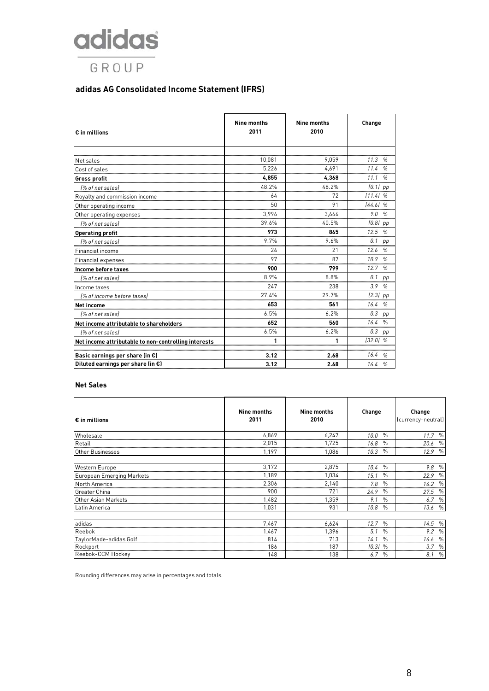## adidas GROUP

#### **adidas AG Consolidated Income Statement (IFRS)**

| € in millions                                        | Nine months<br>2011 | Nine months<br>2010 | Change                |  |
|------------------------------------------------------|---------------------|---------------------|-----------------------|--|
|                                                      |                     |                     |                       |  |
| Net sales                                            | 10,081              | 9.059               | 11.3<br>$\frac{1}{2}$ |  |
| Cost of sales                                        | 5,226               | 4.691               | 11.4<br>%             |  |
| <b>Gross profit</b>                                  | 4,855               | 4,368               | 11.1<br>$\frac{1}{2}$ |  |
| [% of net sales]                                     | 48.2%               | 48.2%               | $(0.1)$ pp            |  |
| Royalty and commission income                        | 64                  | 72                  | $111.4$ %             |  |
| Other operating income                               | 50                  | 91                  | [44.6]%               |  |
| Other operating expenses                             | 3.996               | 3,666               | 9.0%                  |  |
| [% of net sales]                                     | 39.6%               | 40.5%               | $(0.8)$ pp            |  |
| <b>Operating profit</b>                              | 973                 | 865                 | 12.5 %                |  |
| 1% of net sales)                                     | 9.7%                | 9.6%                | 0.1<br>pp             |  |
| Financial income                                     | 24                  | 21                  | 12.6<br>$\frac{0}{2}$ |  |
| <b>Financial expenses</b>                            | 97                  | 87                  | 10.9<br>%             |  |
| Income before taxes                                  | 900                 | 799                 | 12.7%                 |  |
| [% of net sales]                                     | 8.9%                | 8.8%                | 0.1<br>pp             |  |
| Income taxes                                         | 247                 | 238                 | 3.9<br>%              |  |
| [% of income before taxes]                           | 27.4%               | 29.7%               | $(2.3)$ pp            |  |
| <b>Net income</b>                                    | 653                 | 561                 | 16.4%                 |  |
| [% of net sales]                                     | 6.5%                | 6.2%                | 0.3<br>pp             |  |
| Net income attributable to shareholders              | 652                 | 560                 | 16.4%                 |  |
| [% of net sales]                                     | 6.5%                | 6.2%                | 0.3<br>pp             |  |
| Net income attributable to non-controlling interests | 1                   | 1                   | $(32.0)$ %            |  |
| Basic earnings per share (in €)                      | 3.12                | 2.68                | 16.4<br>$\frac{0}{2}$ |  |
| Diluted earnings per share (in $\epsilon$ )          | 3.12                | 2.68                | 16.4%                 |  |

#### **Net Sales**

| l€ in millions            | Nine months<br>2011 | <b>Nine months</b><br>2010 | Change                | Change<br>(currency-neutral) |
|---------------------------|---------------------|----------------------------|-----------------------|------------------------------|
| Wholesale                 | 6,869               | 6,247                      | $\%$<br>10.0          | 11.7 %                       |
| Retail                    | 2,015               | 1,725                      | $\frac{0}{0}$<br>16.8 | 20.6 %                       |
| Other Businesses          | 1,197               | 1,086                      | $\%$<br>10.3          | 12.9%                        |
|                           |                     |                            |                       |                              |
| Western Europe            | 3,172               | 2,875                      | $\%$<br>10.4          | 9.8%                         |
| European Emerging Markets | 1,189               | 1,034                      | $\%$<br>15.1          | $\%$<br>22.9                 |
| North America             | 2,306               | 2,140                      | $\%$<br>7.8           | 14.2%                        |
| <b>Greater China</b>      | 900                 | 721                        | 24.9<br>$\frac{0}{0}$ | 27.5 %                       |
| Other Asian Markets       | 1,482               | 1.359                      | 9.1<br>$\frac{0}{0}$  | 6.7 %                        |
| Latin America             | 1,031               | 931                        | 10.8<br>$\%$          | 13.6 %                       |
|                           |                     |                            |                       |                              |
| adidas                    | 7,467               | 6,624                      | 12.7<br>$\frac{0}{0}$ | 14.5%                        |
| Reebok                    | 1,467               | 1.396                      | 5.1<br>$\%$           | 9.2 %                        |
| TaylorMade-adidas Golf    | 814                 | 713                        | 14.1<br>$\%$          | 16.6 %                       |
| Rockport                  | 186                 | 187                        | $(0.3)$ %             | 3.7<br>$\%$                  |
| Reebok-CCM Hockey         | 148                 | 138                        | 6.7<br>$\%$           | $\%$<br>8.1                  |

Rounding differences may arise in percentages and totals.